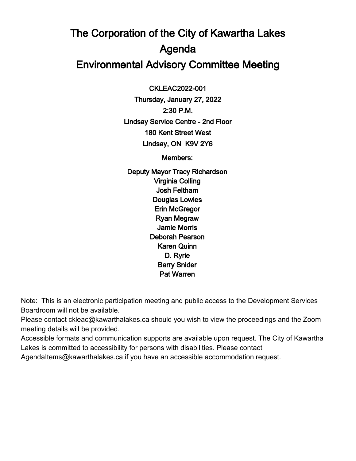# The Corporation of the City of Kawartha Lakes Agenda Environmental Advisory Committee Meeting

 CKLEAC2022-001

Thursday, January 27, 2022 2:30 P.M. Lindsay Service Centre - 2nd Floor 180 Kent Street West Lindsay, ON K9V 2Y6

Members:

Deputy Mayor Tracy Richardson Virginia Colling Josh Feltham Douglas Lowles Erin McGregor Ryan Megraw Jamie Morris Deborah Pearson Karen Quinn D. Ryrie Barry Snider Pat Warren

Note: This is an electronic participation meeting and public access to the Development Services Boardroom will not be available.

Please contact ckleac@kawarthalakes.ca should you wish to view the proceedings and the Zoom meeting details will be provided.

Accessible formats and communication supports are available upon request. The City of Kawartha Lakes is committed to accessibility for persons with disabilities. Please contact

AgendaItems@kawarthalakes.ca if you have an accessible accommodation request.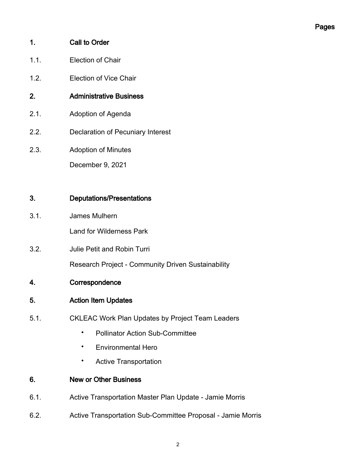#### 1. Call to Order

- 1.1. Election of Chair
- 1.2. Election of Vice Chair
- 2. Administrative Business
- 2.1. Adoption of Agenda
- 2.2. Declaration of Pecuniary Interest
- 2.3. Adoption of Minutes

December 9, 2021

## 3. Deputations/Presentations

3.1. James Mulhern

Land for Wilderness Park

3.2. Julie Petit and Robin Turri

Research Project - Community Driven Sustainability

- 4. Correspondence
- 5. Action Item Updates
- 5.1. CKLEAC Work Plan Updates by Project Team Leaders
	- Pollinator Action Sub-Committee
	- Environmental Hero
	- Active Transportation

#### 6. New or Other Business

- 6.1. Active Transportation Master Plan Update Jamie Morris
- 6.2. Active Transportation Sub-Committee Proposal Jamie Morris